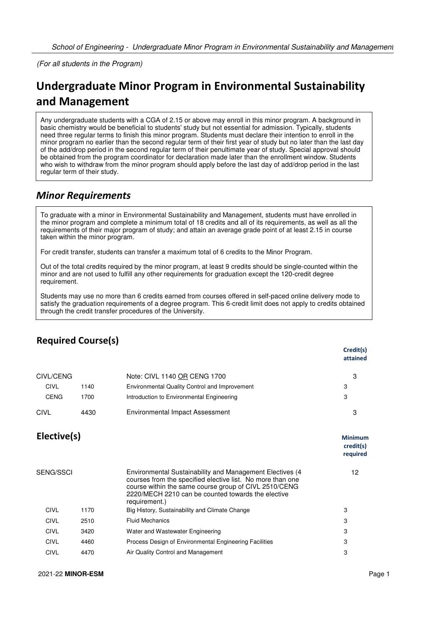(For all students in the Program)

## **Undergraduate Minor Program in Environmental Sustainability and Management**

Any undergraduate students with a CGA of 2.15 or above may enroll in this minor program. A background in basic chemistry would be beneficial to students' study but not essential for admission. Typically, students need three regular terms to finish this minor program. Students must declare their intention to enroll in the minor program no earlier than the second regular term of their first year of study but no later than the last day of the add/drop period in the second regular term of their penultimate year of study. Special approval should be obtained from the program coordinator for declaration made later than the enrollment window. Students who wish to withdraw from the minor program should apply before the last day of add/drop period in the last regular term of their study.

## *Minor Requirements*

To graduate with a minor in Environmental Sustainability and Management, students must have enrolled in the minor program and complete a minimum total of 18 credits and all of its requirements, as well as all the requirements of their major program of study; and attain an average grade point of at least 2.15 in course taken within the minor program.

For credit transfer, students can transfer a maximum total of 6 credits to the Minor Program.

Out of the total credits required by the minor program, at least 9 credits should be single-counted within the minor and are not used to fulfill any other requirements for graduation except the 120-credit degree requirement.

Students may use no more than 6 credits earned from courses offered in self-paced online delivery mode to satisfy the graduation requirements of a degree program. This 6-credit limit does not apply to credits obtained through the credit transfer procedures of the University.

|                  |      |                                                                                                                                                                                                                                                        | Credit(s)<br>attained                   |
|------------------|------|--------------------------------------------------------------------------------------------------------------------------------------------------------------------------------------------------------------------------------------------------------|-----------------------------------------|
| CIVL/CENG        |      | Note: CIVL 1140 OR CENG 1700                                                                                                                                                                                                                           | 3                                       |
| <b>CIVL</b>      | 1140 | Environmental Quality Control and Improvement                                                                                                                                                                                                          | 3                                       |
| <b>CENG</b>      | 1700 | Introduction to Environmental Engineering                                                                                                                                                                                                              | 3                                       |
| CIVL             | 4430 | <b>Environmental Impact Assessment</b>                                                                                                                                                                                                                 | 3                                       |
| Elective(s)      |      |                                                                                                                                                                                                                                                        | <b>Minimum</b><br>credit(s)<br>required |
| <b>SENG/SSCI</b> |      | Environmental Sustainability and Management Electives (4<br>courses from the specified elective list. No more than one<br>course within the same course group of CIVL 2510/CENG<br>2220/MECH 2210 can be counted towards the elective<br>requirement.) | 12                                      |
| <b>CIVL</b>      | 1170 | Big History, Sustainability and Climate Change                                                                                                                                                                                                         | 3                                       |
| <b>CIVL</b>      | 2510 | <b>Fluid Mechanics</b>                                                                                                                                                                                                                                 | 3                                       |
| <b>CIVL</b>      | 3420 | Water and Wastewater Engineering                                                                                                                                                                                                                       | 3                                       |
| <b>CIVL</b>      | 4460 | Process Design of Environmental Engineering Facilities                                                                                                                                                                                                 | 3                                       |
| <b>CIVL</b>      | 4470 | Air Quality Control and Management                                                                                                                                                                                                                     | 3                                       |
|                  |      |                                                                                                                                                                                                                                                        |                                         |

## **Required Course(s)**